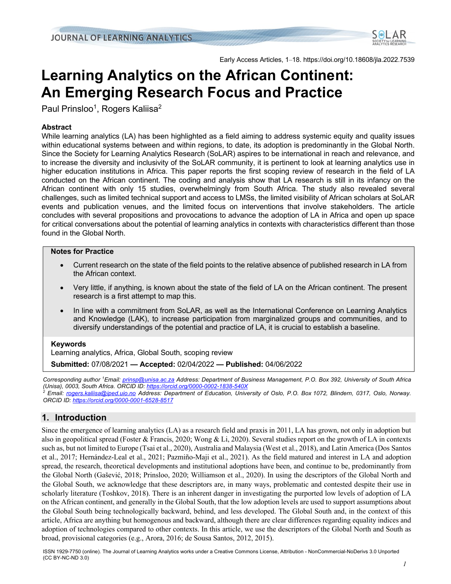

Early Access Articles, 1–18. https://doi.org/10.18608/jla.2022.7539

# **Learning Analytics on the African Continent: An Emerging Research Focus and Practice**

Paul Prinsloo<sup>1</sup>, Rogers Kaliisa<sup>2</sup>

## **Abstract**

While learning analytics (LA) has been highlighted as a field aiming to address systemic equity and quality issues within educational systems between and within regions, to date, its adoption is predominantly in the Global North. Since the Society for Learning Analytics Research (SoLAR) aspires to be international in reach and relevance, and to increase the diversity and inclusivity of the SoLAR community, it is pertinent to look at learning analytics use in higher education institutions in Africa. This paper reports the first scoping review of research in the field of LA conducted on the African continent. The coding and analysis show that LA research is still in its infancy on the African continent with only 15 studies, overwhelmingly from South Africa. The study also revealed several challenges, such as limited technical support and access to LMSs, the limited visibility of African scholars at SoLAR events and publication venues, and the limited focus on interventions that involve stakeholders. The article concludes with several propositions and provocations to advance the adoption of LA in Africa and open up space for critical conversations about the potential of learning analytics in contexts with characteristics different than those found in the Global North.

#### **Notes for Practice**

- Current research on the state of the field points to the relative absence of published research in LA from the African context.
- Very little, if anything, is known about the state of the field of LA on the African continent. The present research is a first attempt to map this.
- In line with a commitment from SoLAR, as well as the International Conference on Learning Analytics and Knowledge (LAK), to increase participation from marginalized groups and communities, and to diversify understandings of the potential and practice of LA, it is crucial to establish a baseline.

## **Keywords**

Learning analytics, Africa, Global South, scoping review

**Submitted:** 07/08/2021 **— Accepted:** 02/04/2022 **— Published:** 04/06/2022

*Corresponding author 1 Email: prinsp@unisa.ac.za Address: Department of Business Management, P.O. Box 392, University of South Africa (Unisa), 0003, South Africa. ORCID ID: https://orcid.org/0000-0002-1838-540X*

*<sup>2</sup> Email: rogers.kaliisa@iped.uio.no Address: Department of Education, University of Oslo, P.O. Box 1072, Blindern, 0317, Oslo, Norway. ORCID ID: https://orcid.org/0000-0001-6528-8517*

# **1. Introduction**

Since the emergence of learning analytics (LA) as a research field and praxis in 2011, LA has grown, not only in adoption but also in geopolitical spread (Foster & Francis, 2020; Wong & Li, 2020). Several studies report on the growth of LA in contexts such as, but not limited to Europe (Tsai et al., 2020), Australia and Malaysia (West et al., 2018), and Latin America (Dos Santos et al., 2017; Hernández-Leal et al., 2021; Pazmiño-Maji et al., 2021). As the field matured and interest in LA and adoption spread, the research, theoretical developments and institutional adoptions have been, and continue to be, predominantly from the Global North (Gašević, 2018; Prinsloo, 2020; Williamson et al., 2020). In using the descriptors of the Global North and the Global South, we acknowledge that these descriptors are, in many ways, problematic and contested despite their use in scholarly literature (Toshkov, 2018). There is an inherent danger in investigating the purported low levels of adoption of LA on the African continent, and generally in the Global South, that the low adoption levels are used to support assumptions about the Global South being technologically backward, behind, and less developed. The Global South and, in the context of this article, Africa are anything but homogenous and backward, although there are clear differences regarding equality indices and adoption of technologies compared to other contexts. In this article, we use the descriptors of the Global North and South as broad, provisional categories (e.g., Arora, 2016; de Sousa Santos, 2012, 2015).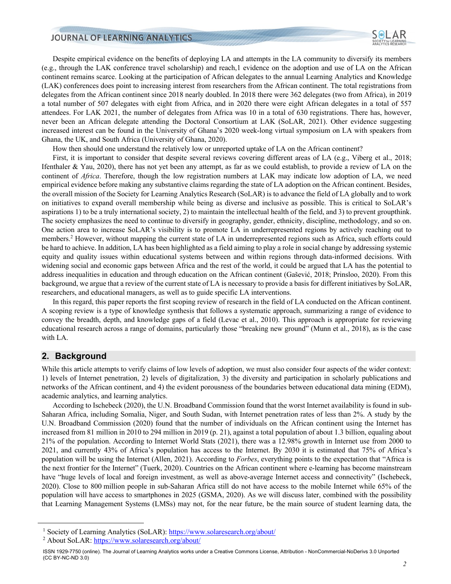Despite empirical evidence on the benefits of deploying LA and attempts in the LA community to diversify its members (e.g., through the LAK conference travel scholarship) and reach,1 evidence on the adoption and use of LA on the African continent remains scarce. Looking at the participation of African delegates to the annual Learning Analytics and Knowledge (LAK) conferences does point to increasing interest from researchers from the African continent. The total registrations from delegates from the African continent since 2018 nearly doubled. In 2018 there were 362 delegates (two from Africa), in 2019 a total number of 507 delegates with eight from Africa, and in 2020 there were eight African delegates in a total of 557 attendees. For LAK 2021, the number of delegates from Africa was 10 in a total of 630 registrations. There has, however, never been an African delegate attending the Doctoral Consortium at LAK (SoLAR, 2021). Other evidence suggesting increased interest can be found in the University of Ghana's 2020 week-long virtual symposium on LA with speakers from Ghana, the UK, and South Africa (University of Ghana, 2020).

How then should one understand the relatively low or unreported uptake of LA on the African continent?

First, it is important to consider that despite several reviews covering different areas of LA (e.g., Viberg et al., 2018; Ifenthaler & Yau, 2020), there has not yet been any attempt, as far as we could establish, to provide a review of LA on the continent of *Africa*. Therefore, though the low registration numbers at LAK may indicate low adoption of LA, we need empirical evidence before making any substantive claims regarding the state of LA adoption on the African continent. Besides, the overall mission of the Society for Learning Analytics Research (SoLAR) is to advance the field of LA globally and to work on initiatives to expand overall membership while being as diverse and inclusive as possible. This is critical to SoLAR's aspirations 1) to be a truly international society, 2) to maintain the intellectual health of the field, and 3) to prevent groupthink. The society emphasizes the need to continue to diversify in geography, gender, ethnicity, discipline, methodology, and so on. One action area to increase SoLAR's visibility is to promote LA in underrepresented regions by actively reaching out to members.2 However, without mapping the current state of LA in underrepresented regions such as Africa, such efforts could be hard to achieve. In addition, LA has been highlighted as a field aiming to play a role in social change by addressing systemic equity and quality issues within educational systems between and within regions through data-informed decisions. With widening social and economic gaps between Africa and the rest of the world, it could be argued that LA has the potential to address inequalities in education and through education on the African continent (Gašević, 2018; Prinsloo, 2020). From this background, we argue that a review of the current state of LA is necessary to provide a basis for different initiatives by SoLAR, researchers, and educational managers, as well as to guide specific LA interventions.

In this regard, this paper reports the first scoping review of research in the field of LA conducted on the African continent. A scoping review is a type of knowledge synthesis that follows a systematic approach, summarizing a range of evidence to convey the breadth, depth, and knowledge gaps of a field (Levac et al., 2010). This approach is appropriate for reviewing educational research across a range of domains, particularly those "breaking new ground" (Munn et al., 2018), as is the case with LA.

## **2. Background**

While this article attempts to verify claims of low levels of adoption, we must also consider four aspects of the wider context: 1) levels of Internet penetration, 2) levels of digitalization, 3) the diversity and participation in scholarly publications and networks of the African continent, and 4) the evident porousness of the boundaries between educational data mining (EDM), academic analytics, and learning analytics.

According to Ischebeck (2020), the U.N. Broadband Commission found that the worst Internet availability is found in sub-Saharan Africa, including Somalia, Niger, and South Sudan, with Internet penetration rates of less than 2%. A study by the U.N. Broadband Commission (2020) found that the number of individuals on the African continent using the Internet has increased from 81 million in 2010 to 294 million in 2019 (p. 21), against a total population of about 1.3 billion, equaling about 21% of the population. According to Internet World Stats (2021), there was a 12.98% growth in Internet use from 2000 to 2021, and currently 43% of Africa's population has access to the Internet. By 2030 it is estimated that 75% of Africa's population will be using the Internet (Allen, 2021). According to *Forbes*, everything points to the expectation that "Africa is the next frontier for the Internet" (Tuerk, 2020). Countries on the African continent where e-learning has become mainstream have "huge levels of local and foreign investment, as well as above-average Internet access and connectivity" (Ischebeck, 2020). Close to 800 million people in sub-Saharan Africa still do not have access to the mobile Internet while 65% of the population will have access to smartphones in 2025 (GSMA, 2020). As we will discuss later, combined with the possibility that Learning Management Systems (LMSs) may not, for the near future, be the main source of student learning data, the

<sup>&</sup>lt;sup>1</sup> Society of Learning Analytics (SoLAR): https://www.solaresearch.org/about/

<sup>2</sup> About SoLAR: https://www.solaresearch.org/about/

ISSN 1929-7750 (online). The Journal of Learning Analytics works under a Creative Commons License, Attribution - NonCommercial-NoDerivs 3.0 Unported (CC BY-NC-ND 3.0)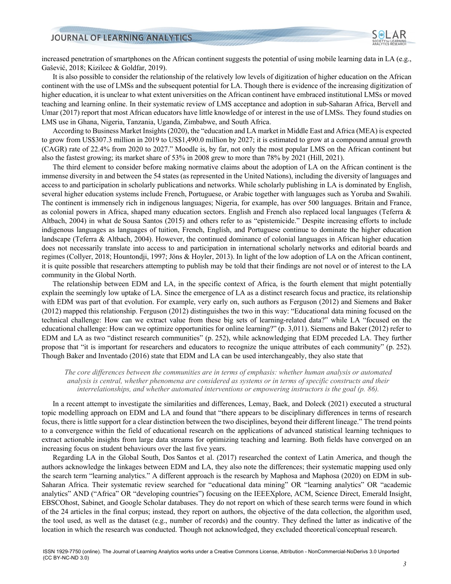increased penetration of smartphones on the African continent suggests the potential of using mobile learning data in LA (e.g., Gašević, 2018; Kizilcec & Goldfar, 2019).

It is also possible to consider the relationship of the relatively low levels of digitization of higher education on the African continent with the use of LMSs and the subsequent potential for LA. Though there is evidence of the increasing digitization of higher education, it is unclear to what extent universities on the African continent have embraced institutional LMSs or moved teaching and learning online. In their systematic review of LMS acceptance and adoption in sub-Saharan Africa, Bervell and Umar (2017) report that most African educators have little knowledge of or interest in the use of LMSs. They found studies on LMS use in Ghana, Nigeria, Tanzania, Uganda, Zimbabwe, and South Africa.

According to Business Market Insights (2020), the "education and LA market in Middle East and Africa (MEA) is expected to grow from US\$307.3 million in 2019 to US\$1,490.0 million by 2027; it is estimated to grow at a compound annual growth (CAGR) rate of 22.4% from 2020 to 2027." Moodle is, by far, not only the most popular LMS on the African continent but also the fastest growing; its market share of 53% in 2008 grew to more than 78% by 2021 (Hill, 2021).

The third element to consider before making normative claims about the adoption of LA on the African continent is the immense diversity in and between the 54 states (as represented in the United Nations), including the diversity of languages and access to and participation in scholarly publications and networks. While scholarly publishing in LA is dominated by English, several higher education systems include French, Portuguese, or Arabic together with languages such as Yoruba and Swahili. The continent is immensely rich in indigenous languages; Nigeria, for example, has over 500 languages. Britain and France, as colonial powers in Africa, shaped many education sectors. English and French also replaced local languages (Teferra & Altbach, 2004) in what de Sousa Santos (2015) and others refer to as "epistemicide." Despite increasing efforts to include indigenous languages as languages of tuition, French, English, and Portuguese continue to dominate the higher education landscape (Teferra & Altbach, 2004). However, the continued dominance of colonial languages in African higher education does not necessarily translate into access to and participation in international scholarly networks and editorial boards and regimes (Collyer, 2018; Hountondji, 1997; Jöns & Hoyler, 2013). In light of the low adoption of LA on the African continent, it is quite possible that researchers attempting to publish may be told that their findings are not novel or of interest to the LA community in the Global North.

The relationship between EDM and LA, in the specific context of Africa, is the fourth element that might potentially explain the seemingly low uptake of LA. Since the emergence of LA as a distinct research focus and practice, its relationship with EDM was part of that evolution. For example, very early on, such authors as Ferguson (2012) and Siemens and Baker (2012) mapped this relationship. Ferguson (2012) distinguishes the two in this way: "Educational data mining focused on the technical challenge: How can we extract value from these big sets of learning-related data?" while LA "focused on the educational challenge: How can we optimize opportunities for online learning?" (p. 3,011). Siemens and Baker (2012) refer to EDM and LA as two "distinct research communities" (p. 252), while acknowledging that EDM preceded LA. They further propose that "it is important for researchers and educators to recognize the unique attributes of each community" (p. 252). Though Baker and Inventado (2016) state that EDM and LA can be used interchangeably, they also state that

*The core differences between the communities are in terms of emphasis: whether human analysis or automated analysis is central, whether phenomena are considered as systems or in terms of specific constructs and their interrelationships, and whether automated interventions or empowering instructors is the goal (p. 86).*

In a recent attempt to investigate the similarities and differences, Lemay, Baek, and Doleck (2021) executed a structural topic modelling approach on EDM and LA and found that "there appears to be disciplinary differences in terms of research focus, there is little support for a clear distinction between the two disciplines, beyond their different lineage." The trend points to a convergence within the field of educational research on the applications of advanced statistical learning techniques to extract actionable insights from large data streams for optimizing teaching and learning. Both fields have converged on an increasing focus on student behaviours over the last five years.

Regarding LA in the Global South, Dos Santos et al. (2017) researched the context of Latin America, and though the authors acknowledge the linkages between EDM and LA, they also note the differences; their systematic mapping used only the search term "learning analytics." A different approach is the research by Maphosa and Maphosa (2020) on EDM in sub-Saharan Africa. Their systematic review searched for "educational data mining" OR "learning analytics" OR "academic analytics" AND ("Africa" OR "developing countries") focusing on the IEEEXplore, ACM, Science Direct, Emerald Insight, EBSCOhost, Sabinet, and Google Scholar databases. They do not report on which of these search terms were found in which of the 24 articles in the final corpus; instead, they report on authors, the objective of the data collection, the algorithm used, the tool used, as well as the dataset (e.g., number of records) and the country. They defined the latter as indicative of the location in which the research was conducted. Though not acknowledged, they excluded theoretical/conceptual research.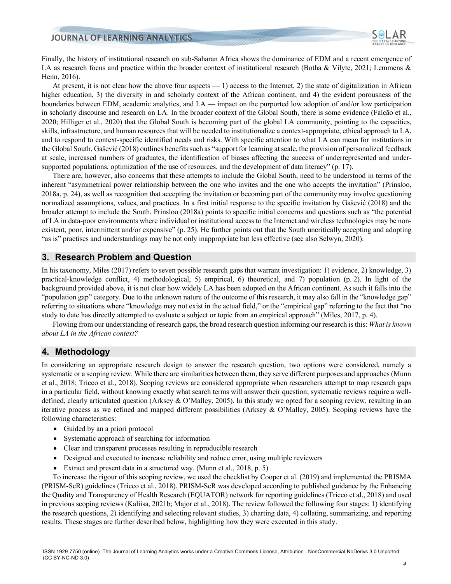Finally, the history of institutional research on sub-Saharan Africa shows the dominance of EDM and a recent emergence of LA as research focus and practice within the broader context of institutional research (Botha & Vilyte, 2021; Lemmens & Henn, 2016).

At present, it is not clear how the above four aspects  $-1$ ) access to the Internet, 2) the state of digitalization in African higher education, 3) the diversity in and scholarly context of the African continent, and 4) the evident porousness of the boundaries between EDM, academic analytics, and LA — impact on the purported low adoption of and/or low participation in scholarly discourse and research on LA. In the broader context of the Global South, there is some evidence (Falcão et al., 2020; Hilliger et al., 2020) that the Global South is becoming part of the global LA community, pointing to the capacities, skills, infrastructure, and human resources that will be needed to institutionalize a context-appropriate, ethical approach to LA, and to respond to context-specific identified needs and risks. With specific attention to what LA can mean for institutions in the Global South, Gašević (2018) outlines benefits such as "support for learning at scale, the provision of personalized feedback at scale, increased numbers of graduates, the identification of biases affecting the success of underrepresented and undersupported populations, optimization of the use of resources, and the development of data literacy" (p. 17).

There are, however, also concerns that these attempts to include the Global South, need to be understood in terms of the inherent "asymmetrical power relationship between the one who invites and the one who accepts the invitation" (Prinsloo, 2018a, p. 24), as well as recognition that accepting the invitation or becoming part of the community may involve questioning normalized assumptions, values, and practices. In a first initial response to the specific invitation by Gašević (2018) and the broader attempt to include the South, Prinsloo (2018a) points to specific initial concerns and questions such as "the potential of LA in data-poor environments where individual or institutional access to the Internet and wireless technologies may be nonexistent, poor, intermittent and/or expensive" (p. 25). He further points out that the South uncritically accepting and adopting "as is" practises and understandings may be not only inappropriate but less effective (see also Selwyn, 2020).

## **3. Research Problem and Question**

In his taxonomy, Miles (2017) refers to seven possible research gaps that warrant investigation: 1) evidence, 2) knowledge, 3) practical-knowledge conflict, 4) methodological, 5) empirical, 6) theoretical, and 7) population (p. 2). In light of the background provided above, it is not clear how widely LA has been adopted on the African continent. As such it falls into the "population gap" category. Due to the unknown nature of the outcome of this research, it may also fall in the "knowledge gap" referring to situations where "knowledge may not exist in the actual field," or the "empirical gap" referring to the fact that "no study to date has directly attempted to evaluate a subject or topic from an empirical approach" (Miles, 2017, p. 4).

Flowing from our understanding of research gaps, the broad research question informing our research isthis: *What is known about LA in the African context?*

#### **4. Methodology**

In considering an appropriate research design to answer the research question, two options were considered, namely a systematic or a scoping review. While there are similarities between them, they serve different purposes and approaches (Munn et al., 2018; Tricco et al., 2018). Scoping reviews are considered appropriate when researchers attempt to map research gaps in a particular field, without knowing exactly what search terms will answer their question; systematic reviews require a welldefined, clearly articulated question (Arksey & O'Malley, 2005). In this study we opted for a scoping review, resulting in an iterative process as we refined and mapped different possibilities (Arksey & O'Malley, 2005). Scoping reviews have the following characteristics:

- Guided by an a priori protocol
- Systematic approach of searching for information
- Clear and transparent processes resulting in reproducible research
- Designed and executed to increase reliability and reduce error, using multiple reviewers
- Extract and present data in a structured way. (Munn et al., 2018, p. 5)

To increase the rigour of this scoping review, we used the checklist by Cooper et al. (2019) and implemented the PRISMA (PRISM-ScR) guidelines (Tricco et al., 2018). PRISM-ScR was developed according to published guidance by the Enhancing the Quality and Transparency of Health Research (EQUATOR) network for reporting guidelines (Tricco et al., 2018) and used in previous scoping reviews (Kaliisa, 2021b; Major et al., 2018). The review followed the following four stages: 1) identifying the research questions, 2) identifying and selecting relevant studies, 3) charting data, 4) collating, summarizing, and reporting results. These stages are further described below, highlighting how they were executed in this study.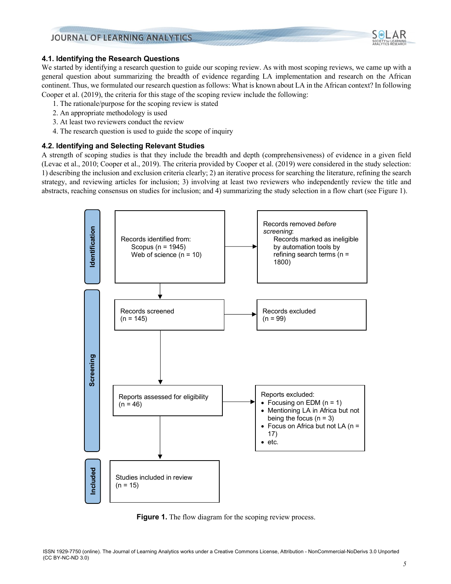

We started by identifying a research question to guide our scoping review. As with most scoping reviews, we came up with a general question about summarizing the breadth of evidence regarding LA implementation and research on the African continent. Thus, we formulated our research question as follows: What is known about LA in the African context? In following Cooper et al. (2019), the criteria for this stage of the scoping review include the following:

- 1. The rationale/purpose for the scoping review is stated
- 2. An appropriate methodology is used
- 3. At least two reviewers conduct the review
- 4. The research question is used to guide the scope of inquiry

#### **4.2. Identifying and Selecting Relevant Studies**

A strength of scoping studies is that they include the breadth and depth (comprehensiveness) of evidence in a given field (Levac et al., 2010; Cooper et al., 2019). The criteria provided by Cooper et al. (2019) were considered in the study selection: 1) describing the inclusion and exclusion criteria clearly; 2) an iterative process for searching the literature, refining the search strategy, and reviewing articles for inclusion; 3) involving at least two reviewers who independently review the title and abstracts, reaching consensus on studies for inclusion; and 4) summarizing the study selection in a flow chart (see Figure 1).



**Figure 1.** The flow diagram for the scoping review process.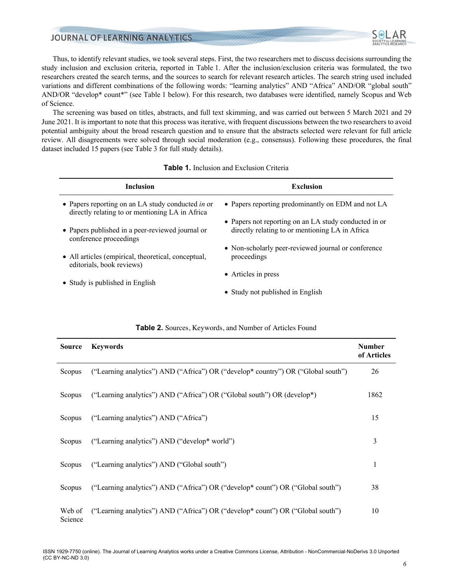

Thus, to identify relevant studies, we took several steps. First, the two researchers met to discuss decisions surrounding the study inclusion and exclusion criteria, reported in Table 1. After the inclusion/exclusion criteria was formulated, the two researchers created the search terms, and the sources to search for relevant research articles. The search string used included variations and different combinations of the following words: "learning analytics" AND "Africa" AND/OR "global south" AND/OR "develop\* count\*" (see Table 1 below). For this research, two databases were identified, namely Scopus and Web of Science.

The screening was based on titles, abstracts, and full text skimming, and was carried out between 5 March 2021 and 29 June 2021. It is important to note that this process was iterative, with frequent discussions between the two researchers to avoid potential ambiguity about the broad research question and to ensure that the abstracts selected were relevant for full article review. All disagreements were solved through social moderation (e.g., consensus). Following these procedures, the final dataset included 15 papers (see Table 3 for full study details).

| <b>Inclusion</b>                                                                                     | <b>Exclusion</b>                                                                                         |
|------------------------------------------------------------------------------------------------------|----------------------------------------------------------------------------------------------------------|
| • Papers reporting on an LA study conducted in or<br>directly relating to or mentioning LA in Africa | • Papers reporting predominantly on EDM and not LA                                                       |
| • Papers published in a peer-reviewed journal or<br>conference proceedings                           | • Papers not reporting on an LA study conducted in or<br>directly relating to or mentioning LA in Africa |
| • All articles (empirical, theoretical, conceptual,<br>editorials, book reviews)                     | • Non-scholarly peer-reviewed journal or conference<br>proceedings                                       |
| • Study is published in English                                                                      | • Articles in press                                                                                      |
|                                                                                                      | • Study not published in English                                                                         |

|  |  |  | <b>Table 1.</b> Inclusion and Exclusion Criteria |  |
|--|--|--|--------------------------------------------------|--|
|--|--|--|--------------------------------------------------|--|

| Source            | <b>Keywords</b>                                                                   | <b>Number</b><br>of Articles |
|-------------------|-----------------------------------------------------------------------------------|------------------------------|
| Scopus            | ("Learning analytics") AND ("Africa") OR ("develop* country") OR ("Global south") | 26                           |
| Scopus            | ("Learning analytics") AND ("Africa") OR ("Global south") OR (develop*)           | 1862                         |
| Scopus            | ("Learning analytics") AND ("Africa")                                             | 15                           |
| Scopus            | ("Learning analytics") AND ("develop* world")                                     | 3                            |
| Scopus            | ("Learning analytics") AND ("Global south")                                       |                              |
| Scopus            | ("Learning analytics") AND ("Africa") OR ("develop* count") OR ("Global south")   | 38                           |
| Web of<br>Science | ("Learning analytics") AND ("Africa") OR ("develop* count") OR ("Global south")   | 10                           |

#### **Table 2.** Sources, Keywords, and Number of Articles Found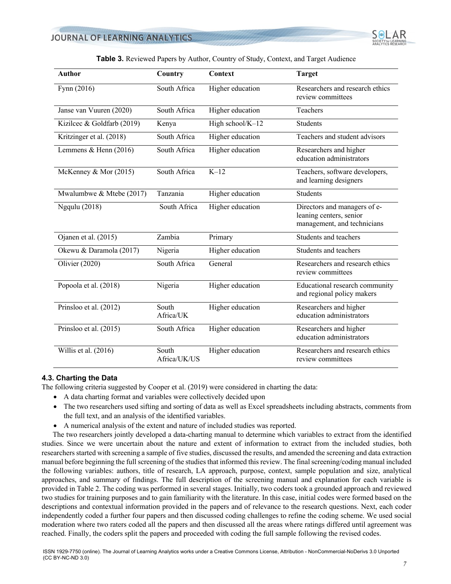| <b>Author</b>              | Country               | <b>Context</b>   | <b>Target</b>                                                                          |
|----------------------------|-----------------------|------------------|----------------------------------------------------------------------------------------|
| Fynn (2016)                | South Africa          | Higher education | Researchers and research ethics<br>review committees                                   |
| Janse van Vuuren (2020)    | South Africa          | Higher education | Teachers                                                                               |
| Kizilcec & Goldfarb (2019) | Kenya                 | High school/K-12 | Students                                                                               |
| Kritzinger et al. (2018)   | South Africa          | Higher education | Teachers and student advisors                                                          |
| Lemmens & Henn (2016)      | South Africa          | Higher education | Researchers and higher<br>education administrators                                     |
| McKenney & Mor (2015)      | South Africa          | $K-12$           | Teachers, software developers,<br>and learning designers                               |
| Mwalumbwe & Mtebe (2017)   | Tanzania              | Higher education | <b>Students</b>                                                                        |
| <b>Ngqulu</b> (2018)       | South Africa          | Higher education | Directors and managers of e-<br>leaning centers, senior<br>management, and technicians |
| Ojanen et al. (2015)       | Zambia                | Primary          | Students and teachers                                                                  |
| Okewu & Daramola (2017)    | Nigeria               | Higher education | Students and teachers                                                                  |
| Olivier (2020)             | South Africa          | General          | Researchers and research ethics<br>review committees                                   |
| Popoola et al. (2018)      | Nigeria               | Higher education | Educational research community<br>and regional policy makers                           |
| Prinsloo et al. (2012)     | South<br>Africa/UK    | Higher education | Researchers and higher<br>education administrators                                     |
| Prinsloo et al. (2015)     | South Africa          | Higher education | Researchers and higher<br>education administrators                                     |
| Willis et al. (2016)       | South<br>Africa/UK/US | Higher education | Researchers and research ethics<br>review committees                                   |

#### **Table 3.** Reviewed Papers by Author, Country of Study, Context, and Target Audience

#### **4.3. Charting the Data**

The following criteria suggested by Cooper et al. (2019) were considered in charting the data:

- A data charting format and variables were collectively decided upon
- The two researchers used sifting and sorting of data as well as Excel spreadsheets including abstracts, comments from the full text, and an analysis of the identified variables.
- A numerical analysis of the extent and nature of included studies was reported.

The two researchers jointly developed a data-charting manual to determine which variables to extract from the identified studies. Since we were uncertain about the nature and extent of information to extract from the included studies, both researchers started with screening a sample of five studies, discussed the results, and amended the screening and data extraction manual before beginning the full screening of the studies that informed this review. The final screening/coding manual included the following variables: authors, title of research, LA approach, purpose, context, sample population and size, analytical approaches, and summary of findings. The full description of the screening manual and explanation for each variable is provided in Table 2. The coding was performed in several stages. Initially, two coders took a grounded approach and reviewed two studies for training purposes and to gain familiarity with the literature. In this case, initial codes were formed based on the descriptions and contextual information provided in the papers and of relevance to the research questions. Next, each coder independently coded a further four papers and then discussed coding challenges to refine the coding scheme. We used social moderation where two raters coded all the papers and then discussed all the areas where ratings differed until agreement was reached. Finally, the coders split the papers and proceeded with coding the full sample following the revised codes.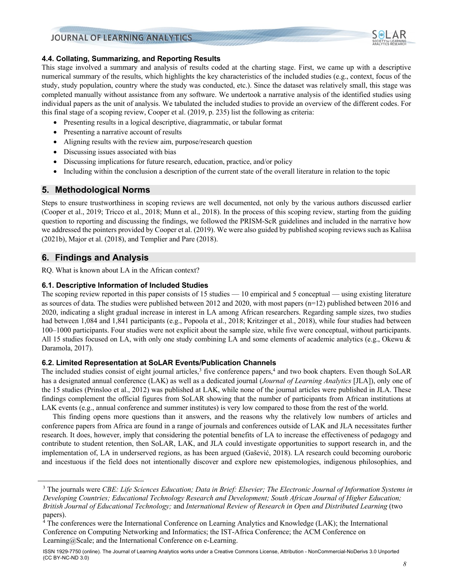

#### **4.4. Collating, Summarizing, and Reporting Results**

This stage involved a summary and analysis of results coded at the charting stage. First, we came up with a descriptive numerical summary of the results, which highlights the key characteristics of the included studies (e.g., context, focus of the study, study population, country where the study was conducted, etc.). Since the dataset was relatively small, this stage was completed manually without assistance from any software. We undertook a narrative analysis of the identified studies using individual papers as the unit of analysis. We tabulated the included studies to provide an overview of the different codes. For this final stage of a scoping review, Cooper et al. (2019, p. 235) list the following as criteria:

- Presenting results in a logical descriptive, diagrammatic, or tabular format
- Presenting a narrative account of results
- Aligning results with the review aim, purpose/research question
- Discussing issues associated with bias
- Discussing implications for future research, education, practice, and/or policy
- Including within the conclusion a description of the current state of the overall literature in relation to the topic

#### **5. Methodological Norms**

Steps to ensure trustworthiness in scoping reviews are well documented, not only by the various authors discussed earlier (Cooper et al., 2019; Tricco et al., 2018; Munn et al., 2018). In the process of this scoping review, starting from the guiding question to reporting and discussing the findings, we followed the PRISM-ScR guidelines and included in the narrative how we addressed the pointers provided by Cooper et al. (2019). We were also guided by published scoping reviews such as Kaliisa (2021b), Major et al. (2018), and Templier and Pare (2018).

## **6. Findings and Analysis**

RQ. What is known about LA in the African context?

#### **6.1. Descriptive Information of Included Studies**

The scoping review reported in this paper consists of 15 studies — 10 empirical and 5 conceptual — using existing literature as sources of data. The studies were published between 2012 and 2020, with most papers (n=12) published between 2016 and 2020, indicating a slight gradual increase in interest in LA among African researchers. Regarding sample sizes, two studies had between 1,084 and 1,841 participants (e.g., Popoola et al., 2018; Kritzinger et al., 2018), while four studies had between 100–1000 participants. Four studies were not explicit about the sample size, while five were conceptual, without participants. All 15 studies focused on LA, with only one study combining LA and some elements of academic analytics (e.g., Okewu & Daramola, 2017).

#### **6.2. Limited Representation at SoLAR Events/Publication Channels**

The included studies consist of eight journal articles,<sup>3</sup> five conference papers,<sup>4</sup> and two book chapters. Even though SoLAR has a designated annual conference (LAK) as well as a dedicated journal (*Journal of Learning Analytics* [JLA]), only one of the 15 studies (Prinsloo et al., 2012) was published at LAK, while none of the journal articles were published in JLA. These findings complement the official figures from SoLAR showing that the number of participants from African institutions at LAK events (e.g., annual conference and summer institutes) is very low compared to those from the rest of the world.

This finding opens more questions than it answers, and the reasons why the relatively low numbers of articles and conference papers from Africa are found in a range of journals and conferences outside of LAK and JLA necessitates further research. It does, however, imply that considering the potential benefits of LA to increase the effectiveness of pedagogy and contribute to student retention, then SoLAR, LAK, and JLA could investigate opportunities to support research in, and the implementation of, LA in underserved regions, as has been argued (Gašević, 2018). LA research could becoming ouroboric and incestuous if the field does not intentionally discover and explore new epistemologies, indigenous philosophies, and

<sup>3</sup> The journals were *CBE: Life Sciences Education; Data in Brief: Elsevier; The Electronic Journal of Information Systems in Developing Countries; Educational Technology Research and Development; South African Journal of Higher Education; British Journal of Educational Technology;* and *International Review of Research in Open and Distributed Learning* (two papers).

<sup>4</sup> The conferences were the International Conference on Learning Analytics and Knowledge (LAK); the International Conference on Computing Networking and Informatics; the IST-Africa Conference; the ACM Conference on Learning@Scale; and the International Conference on e-Learning.

ISSN 1929-7750 (online). The Journal of Learning Analytics works under a Creative Commons License, Attribution - NonCommercial-NoDerivs 3.0 Unported (CC BY-NC-ND 3.0)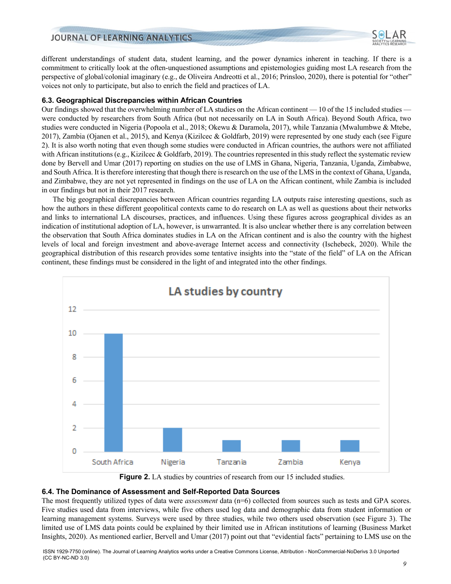different understandings of student data, student learning, and the power dynamics inherent in teaching. If there is a commitment to critically look at the often-unquestioned assumptions and epistemologies guiding most LA research from the perspective of global/colonial imaginary (e.g., de Oliveira Andreotti et al., 2016; Prinsloo, 2020), there is potential for "other" voices not only to participate, but also to enrich the field and practices of LA.

#### **6.3. Geographical Discrepancies within African Countries**

Our findings showed that the overwhelming number of LA studies on the African continent — 10 of the 15 included studies were conducted by researchers from South Africa (but not necessarily on LA in South Africa). Beyond South Africa, two studies were conducted in Nigeria (Popoola et al., 2018; Okewu & Daramola, 2017), while Tanzania (Mwalumbwe & Mtebe, 2017), Zambia (Ojanen et al., 2015), and Kenya (Kizilcec & Goldfarb, 2019) were represented by one study each (see Figure 2). It is also worth noting that even though some studies were conducted in African countries, the authors were not affiliated with African institutions (e.g., Kizilcec & Goldfarb, 2019). The countries represented in this study reflect the systematic review done by Bervell and Umar (2017) reporting on studies on the use of LMS in Ghana, Nigeria, Tanzania, Uganda, Zimbabwe, and South Africa. It is therefore interesting that though there is research on the use of the LMS in the context of Ghana, Uganda, and Zimbabwe, they are not yet represented in findings on the use of LA on the African continent, while Zambia is included in our findings but not in their 2017 research.

The big geographical discrepancies between African countries regarding LA outputs raise interesting questions, such as how the authors in these different geopolitical contexts came to do research on LA as well as questions about their networks and links to international LA discourses, practices, and influences. Using these figures across geographical divides as an indication of institutional adoption of LA, however, is unwarranted. It is also unclear whether there is any correlation between the observation that South Africa dominates studies in LA on the African continent and is also the country with the highest levels of local and foreign investment and above-average Internet access and connectivity (Ischebeck, 2020). While the geographical distribution of this research provides some tentative insights into the "state of the field" of LA on the African continent, these findings must be considered in the light of and integrated into the other findings.



**Figure 2.** LA studies by countries of research from our 15 included studies.

#### **6.4. The Dominance of Assessment and Self-Reported Data Sources**

The most frequently utilized types of data were *assessment* data (n=6) collected from sources such as tests and GPA scores. Five studies used data from interviews, while five others used log data and demographic data from student information or learning management systems. Surveys were used by three studies, while two others used observation (see Figure 3). The limited use of LMS data points could be explained by their limited use in African institutions of learning (Business Market Insights, 2020). As mentioned earlier, Bervell and Umar (2017) point out that "evidential facts" pertaining to LMS use on the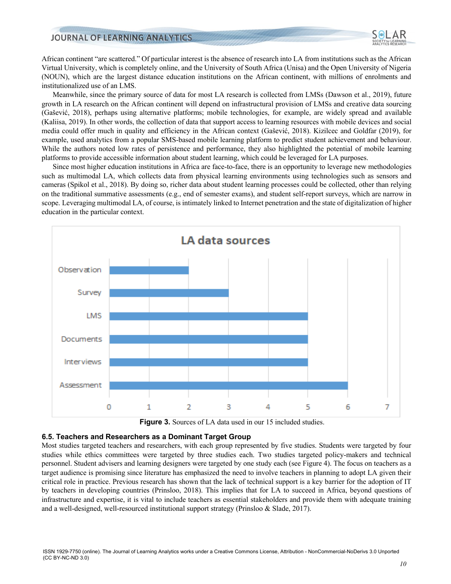

African continent "are scattered." Of particular interest is the absence of research into LA from institutions such as the African Virtual University, which is completely online, and the University of South Africa (Unisa) and the Open University of Nigeria (NOUN), which are the largest distance education institutions on the African continent, with millions of enrolments and institutionalized use of an LMS.

Meanwhile, since the primary source of data for most LA research is collected from LMSs (Dawson et al., 2019), future growth in LA research on the African continent will depend on infrastructural provision of LMSs and creative data sourcing (Gašević, 2018), perhaps using alternative platforms; mobile technologies, for example, are widely spread and available (Kaliisa, 2019). In other words, the collection of data that support access to learning resources with mobile devices and social media could offer much in quality and efficiency in the African context (Gašević, 2018). Kizilcec and Goldfar (2019), for example, used analytics from a popular SMS-based mobile learning platform to predict student achievement and behaviour. While the authors noted low rates of persistence and performance, they also highlighted the potential of mobile learning platforms to provide accessible information about student learning, which could be leveraged for LA purposes.

Since most higher education institutions in Africa are face-to-face, there is an opportunity to leverage new methodologies such as multimodal LA, which collects data from physical learning environments using technologies such as sensors and cameras (Spikol et al., 2018). By doing so, richer data about student learning processes could be collected, other than relying on the traditional summative assessments (e.g., end of semester exams), and student self-report surveys, which are narrow in scope. Leveraging multimodal LA, of course, is intimately linked to Internet penetration and the state of digitalization of higher education in the particular context.





#### **6.5. Teachers and Researchers as a Dominant Target Group**

Most studies targeted teachers and researchers, with each group represented by five studies. Students were targeted by four studies while ethics committees were targeted by three studies each. Two studies targeted policy-makers and technical personnel. Student advisers and learning designers were targeted by one study each (see Figure 4). The focus on teachers as a target audience is promising since literature has emphasized the need to involve teachers in planning to adopt LA given their critical role in practice. Previous research has shown that the lack of technical support is a key barrier for the adoption of IT by teachers in developing countries (Prinsloo, 2018). This implies that for LA to succeed in Africa, beyond questions of infrastructure and expertise, it is vital to include teachers as essential stakeholders and provide them with adequate training and a well-designed, well-resourced institutional support strategy (Prinsloo & Slade, 2017).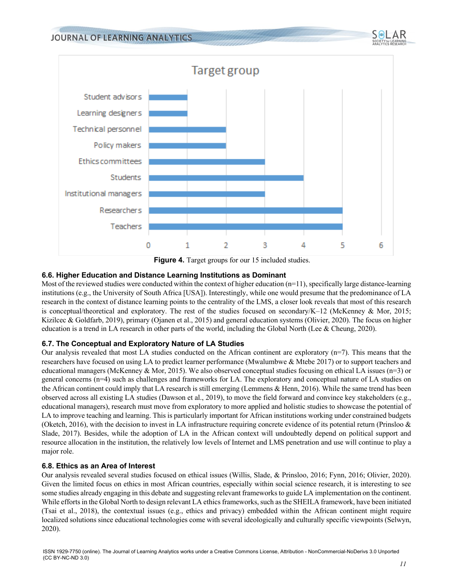

**Figure 4.** Target groups for our 15 included studies.

## **6.6. Higher Education and Distance Learning Institutions as Dominant**

Most of the reviewed studies were conducted within the context of higher education  $(n=1)$ , specifically large distance-learning institutions (e.g., the University of South Africa [USA]). Interestingly, while one would presume that the predominance of LA research in the context of distance learning points to the centrality of the LMS, a closer look reveals that most of this research is conceptual/theoretical and exploratory. The rest of the studies focused on secondary/K–12 (McKenney & Mor, 2015; Kizilcec & Goldfarb, 2019), primary (Ojanen et al., 2015) and general education systems (Olivier, 2020). The focus on higher education is a trend in LA research in other parts of the world, including the Global North (Lee & Cheung, 2020).

## **6.7. The Conceptual and Exploratory Nature of LA Studies**

Our analysis revealed that most LA studies conducted on the African continent are exploratory  $(n=7)$ . This means that the researchers have focused on using LA to predict learner performance (Mwalumbwe & Mtebe 2017) or to support teachers and educational managers (McKenney & Mor, 2015). We also observed conceptual studies focusing on ethical LA issues ( $n=3$ ) or general concerns (n=4) such as challenges and frameworks for LA. The exploratory and conceptual nature of LA studies on the African continent could imply that LA research is still emerging (Lemmens & Henn, 2016). While the same trend has been observed across all existing LA studies (Dawson et al., 2019), to move the field forward and convince key stakeholders (e.g., educational managers), research must move from exploratory to more applied and holistic studies to showcase the potential of LA to improve teaching and learning. This is particularly important for African institutions working under constrained budgets (Oketch, 2016), with the decision to invest in LA infrastructure requiring concrete evidence of its potential return (Prinsloo & Slade, 2017). Besides, while the adoption of LA in the African context will undoubtedly depend on political support and resource allocation in the institution, the relatively low levels of Internet and LMS penetration and use will continue to play a major role.

#### **6.8. Ethics as an Area of Interest**

Our analysis revealed several studies focused on ethical issues (Willis, Slade, & Prinsloo, 2016; Fynn, 2016; Olivier, 2020). Given the limited focus on ethics in most African countries, especially within social science research, it is interesting to see some studies already engaging in this debate and suggesting relevant frameworks to guide LA implementation on the continent. While efforts in the Global North to design relevant LA ethics frameworks, such as the SHEILA framework, have been initiated (Tsai et al., 2018), the contextual issues (e.g., ethics and privacy) embedded within the African continent might require localized solutions since educational technologies come with several ideologically and culturally specific viewpoints (Selwyn, 2020).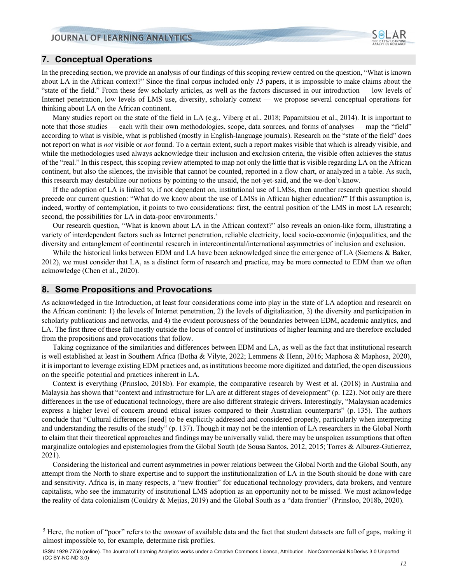

## **7. Conceptual Operations**

In the preceding section, we provide an analysis of our findings of this scoping review centred on the question, "What is known about LA in the African context?" Since the final corpus included only *15* papers, it is impossible to make claims about the "state of the field." From these few scholarly articles, as well as the factors discussed in our introduction — low levels of Internet penetration, low levels of LMS use, diversity, scholarly context — we propose several conceptual operations for thinking about LA on the African continent.

Many studies report on the state of the field in LA (e.g., Viberg et al., 2018; Papamitsiou et al., 2014). It is important to note that those studies — each with their own methodologies, scope, data sources, and forms of analyses — map the "field" according to what is visible, what is published (mostly in English-language journals). Research on the "state of the field" does not report on what is *not* visible or *not* found. To a certain extent, such a report makes visible that which is already visible, and while the methodologies used always acknowledge their inclusion and exclusion criteria, the visible often achieves the status of the "real." In this respect, this scoping review attempted to map not only the little that is visible regarding LA on the African continent, but also the silences, the invisible that cannot be counted, reported in a flow chart, or analyzed in a table. As such, this research may destabilize our notions by pointing to the unsaid, the not-yet-said, and the we-don't-know.

If the adoption of LA is linked to, if not dependent on, institutional use of LMSs, then another research question should precede our current question: "What do we know about the use of LMSs in African higher education?" If this assumption is, indeed, worthy of contemplation, it points to two considerations: first, the central position of the LMS in most LA research; second, the possibilities for LA in data-poor environments.<sup>5</sup>

Our research question, "What is known about LA in the African context?" also reveals an onion-like form, illustrating a variety of interdependent factors such as Internet penetration, reliable electricity, local socio-economic (in)equalities, and the diversity and entanglement of continental research in intercontinental/international asymmetries of inclusion and exclusion.

While the historical links between EDM and LA have been acknowledged since the emergence of LA (Siemens & Baker, 2012), we must consider that LA, as a distinct form of research and practice, may be more connected to EDM than we often acknowledge (Chen et al., 2020).

## **8. Some Propositions and Provocations**

As acknowledged in the Introduction, at least four considerations come into play in the state of LA adoption and research on the African continent: 1) the levels of Internet penetration, 2) the levels of digitalization, 3) the diversity and participation in scholarly publications and networks, and 4) the evident porousness of the boundaries between EDM, academic analytics, and LA. The first three of these fall mostly outside the locus of control of institutions of higher learning and are therefore excluded from the propositions and provocations that follow.

Taking cognizance of the similarities and differences between EDM and LA, as well as the fact that institutional research is well established at least in Southern Africa (Botha & Vilyte, 2022; Lemmens & Henn, 2016; Maphosa & Maphosa, 2020), it is important to leverage existing EDM practices and, as institutions become more digitized and datafied, the open discussions on the specific potential and practices inherent in LA.

Context is everything (Prinsloo, 2018b). For example, the comparative research by West et al. (2018) in Australia and Malaysia has shown that "context and infrastructure for LA are at different stages of development" (p. 122). Not only are there differences in the use of educational technology, there are also different strategic drivers. Interestingly, "Malaysian academics express a higher level of concern around ethical issues compared to their Australian counterparts" (p. 135). The authors conclude that "Cultural differences [need] to be explicitly addressed and considered properly, particularly when interpreting and understanding the results of the study" (p. 137). Though it may not be the intention of LA researchers in the Global North to claim that their theoretical approaches and findings may be universally valid, there may be unspoken assumptions that often marginalize ontologies and epistemologies from the Global South (de Sousa Santos, 2012, 2015; Torres & Alburez-Gutierrez, 2021).

Considering the historical and current asymmetries in power relations between the Global North and the Global South, any attempt from the North to share expertise and to support the institutionalization of LA in the South should be done with care and sensitivity. Africa is, in many respects, a "new frontier" for educational technology providers, data brokers, and venture capitalists, who see the immaturity of institutional LMS adoption as an opportunity not to be missed. We must acknowledge the reality of data colonialism (Couldry & Mejias, 2019) and the Global South as a "data frontier" (Prinsloo, 2018b, 2020).

<sup>5</sup> Here, the notion of "poor" refers to the *amount* of available data and the fact that student datasets are full of gaps, making it almost impossible to, for example, determine risk profiles.

ISSN 1929-7750 (online). The Journal of Learning Analytics works under a Creative Commons License, Attribution - NonCommercial-NoDerivs 3.0 Unported (CC BY-NC-ND 3.0)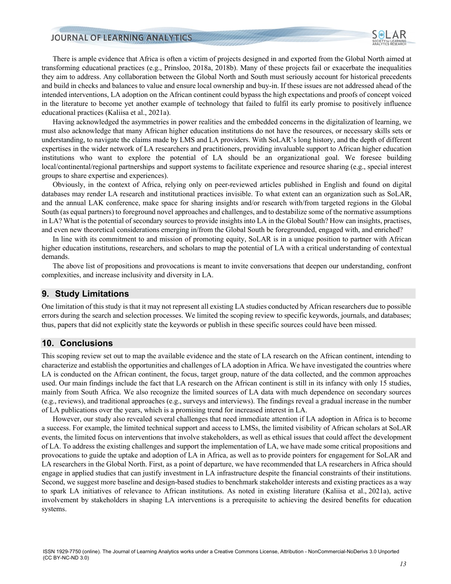There is ample evidence that Africa is often a victim of projects designed in and exported from the Global North aimed at transforming educational practices (e.g., Prinsloo, 2018a, 2018b). Many of these projects fail or exacerbate the inequalities they aim to address. Any collaboration between the Global North and South must seriously account for historical precedents and build in checks and balances to value and ensure local ownership and buy-in. If these issues are not addressed ahead of the intended interventions, LA adoption on the African continent could bypass the high expectations and proofs of concept voiced in the literature to become yet another example of technology that failed to fulfil its early promise to positively influence educational practices (Kaliisa et al., 2021a).

Having acknowledged the asymmetries in power realities and the embedded concerns in the digitalization of learning, we must also acknowledge that many African higher education institutions do not have the resources, or necessary skills sets or understanding, to navigate the claims made by LMS and LA providers. With SoLAR's long history, and the depth of different expertises in the wider network of LA researchers and practitioners, providing invaluable support to African higher education institutions who want to explore the potential of LA should be an organizational goal. We foresee building local/continental/regional partnerships and support systems to facilitate experience and resource sharing (e.g., special interest groups to share expertise and experiences).

Obviously, in the context of Africa, relying only on peer-reviewed articles published in English and found on digital databases may render LA research and institutional practices invisible. To what extent can an organization such as SoLAR, and the annual LAK conference, make space for sharing insights and/or research with/from targeted regions in the Global South (as equal partners) to foreground novel approaches and challenges, and to destabilize some of the normative assumptions in LA? What is the potential of secondary sources to provide insights into LA in the Global South? How can insights, practises, and even new theoretical considerations emerging in/from the Global South be foregrounded, engaged with, and enriched?

In line with its commitment to and mission of promoting equity, SoLAR is in a unique position to partner with African higher education institutions, researchers, and scholars to map the potential of LA with a critical understanding of contextual demands.

The above list of propositions and provocations is meant to invite conversations that deepen our understanding, confront complexities, and increase inclusivity and diversity in LA.

#### **9. Study Limitations**

One limitation of this study is that it may not represent all existing LA studies conducted by African researchers due to possible errors during the search and selection processes. We limited the scoping review to specific keywords, journals, and databases; thus, papers that did not explicitly state the keywords or publish in these specific sources could have been missed.

## **10. Conclusions**

This scoping review set out to map the available evidence and the state of LA research on the African continent, intending to characterize and establish the opportunities and challenges of LA adoption in Africa. We have investigated the countries where LA is conducted on the African continent, the focus, target group, nature of the data collected, and the common approaches used. Our main findings include the fact that LA research on the African continent is still in its infancy with only 15 studies, mainly from South Africa. We also recognize the limited sources of LA data with much dependence on secondary sources (e.g., reviews), and traditional approaches (e.g., surveys and interviews). The findings reveal a gradual increase in the number of LA publications over the years, which is a promising trend for increased interest in LA.

However, our study also revealed several challenges that need immediate attention if LA adoption in Africa is to become a success. For example, the limited technical support and access to LMSs, the limited visibility of African scholars at SoLAR events, the limited focus on interventions that involve stakeholders, as well as ethical issues that could affect the development of LA. To address the existing challenges and support the implementation of LA, we have made some critical propositions and provocations to guide the uptake and adoption of LA in Africa, as well as to provide pointers for engagement for SoLAR and LA researchers in the Global North. First, as a point of departure, we have recommended that LA researchers in Africa should engage in applied studies that can justify investment in LA infrastructure despite the financial constraints of their institutions. Second, we suggest more baseline and design-based studies to benchmark stakeholder interests and existing practices as a way to spark LA initiatives of relevance to African institutions. As noted in existing literature (Kaliisa et al., 2021a), active involvement by stakeholders in shaping LA interventions is a prerequisite to achieving the desired benefits for education systems.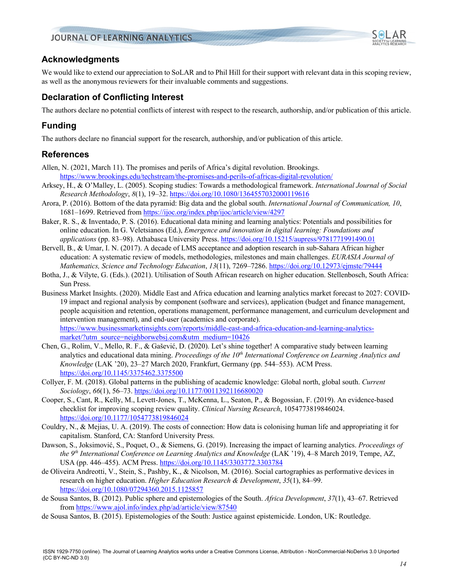## **Acknowledgments**

We would like to extend our appreciation to SoLAR and to Phil Hill for their support with relevant data in this scoping review, as well as the anonymous reviewers for their invaluable comments and suggestions.

## **Declaration of Conflicting Interest**

The authors declare no potential conflicts of interest with respect to the research, authorship, and/or publication of this article.

# **Funding**

The authors declare no financial support for the research, authorship, and/or publication of this article.

## **References**

- Allen, N. (2021, March 11). The promises and perils of Africa's digital revolution. Brookings. https://www.brookings.edu/techstream/the-promises-and-perils-of-africas-digital-revolution/
- Arksey, H., & O'Malley, L. (2005). Scoping studies: Towards a methodological framework. *International Journal of Social Research Methodology*, *8*(1), 19–32. https://doi.org/10.1080/1364557032000119616
- Arora, P. (2016). Bottom of the data pyramid: Big data and the global south. *International Journal of Communication, 10*, 1681–1699. Retrieved from https://ijoc.org/index.php/ijoc/article/view/4297
- Baker, R. S., & Inventado, P. S. (2016). Educational data mining and learning analytics: Potentials and possibilities for online education. In G. Veletsianos (Ed.), *Emergence and innovation in digital learning: Foundations and applications* (pp. 83–98). Athabasca University Press. https://doi.org/10.15215/aupress/9781771991490.01
- Bervell, B., & Umar, I. N. (2017). A decade of LMS acceptance and adoption research in sub-Sahara African higher education: A systematic review of models, methodologies, milestones and main challenges. *EURASIA Journal of Mathematics, Science and Technology Education*, *13*(11), 7269–7286. https://doi.org/10.12973/ejmste/79444
- Botha, J., & Vilyte, G. (Eds.). (2021). Utilisation of South African research on higher education. Stellenbosch, South Africa: Sun Press.
- Business Market Insights. (2020). Middle East and Africa education and learning analytics market forecast to 2027: COVID-19 impact and regional analysis by component (software and services), application (budget and finance management, people acquisition and retention, operations management, performance management, and curriculum development and intervention management), and end-user (academics and corporate). https://www.businessmarketinsights.com/reports/middle-east-and-africa-education-and-learning-analyticsmarket/?utm\_source=neighborwebsj.com&utm\_medium=10426
- Chen, G., Rolim, V., Mello, R. F., & Gašević, D. (2020). Let's shine together! A comparative study between learning analytics and educational data mining. *Proceedings of the 10th International Conference on Learning Analytics and Knowledge* (LAK '20), 23–27 March 2020, Frankfurt, Germany (pp. 544–553). ACM Press. https://doi.org/10.1145/3375462.3375500
- Collyer, F. M. (2018). Global patterns in the publishing of academic knowledge: Global north, global south. *Current Sociology*, *66*(1), 56–73. https://doi.org/10.1177/0011392116680020
- Cooper, S., Cant, R., Kelly, M., Levett-Jones, T., McKenna, L., Seaton, P., & Bogossian, F. (2019). An evidence-based checklist for improving scoping review quality. *Clinical Nursing Research*, 1054773819846024. https://doi.org/10.1177/1054773819846024
- Couldry, N., & Mejias, U. A. (2019). The costs of connection: How data is colonising human life and appropriating it for capitalism. Stanford, CA: Stanford University Press.
- Dawson, S., Joksimović, S., Poquet, O., & Siemens, G. (2019). Increasing the impact of learning analytics. *Proceedings of the 9th International Conference on Learning Analytics and Knowledge* (LAK '19), 4–8 March 2019, Tempe, AZ, USA (pp. 446–455). ACM Press. https://doi.org/10.1145/3303772.3303784
- de Oliveira Andreotti, V., Stein, S., Pashby, K., & Nicolson, M. (2016). Social cartographies as performative devices in research on higher education. *Higher Education Research & Development*, *35*(1), 84–99. https://doi.org/10.1080/07294360.2015.1125857
- de Sousa Santos, B. (2012). Public sphere and epistemologies of the South. *Africa Development*, *37*(1), 43–67. Retrieved from https://www.ajol.info/index.php/ad/article/view/87540
- de Sousa Santos, B. (2015). Epistemologies of the South: Justice against epistemicide. London, UK: Routledge.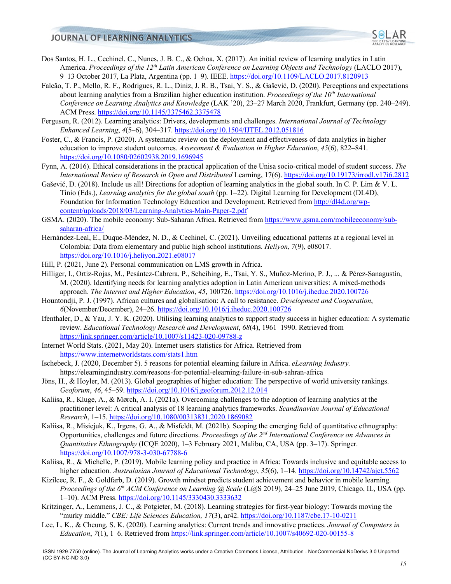

- Dos Santos, H. L., Cechinel, C., Nunes, J. B. C., & Ochoa, X. (2017). An initial review of learning analytics in Latin America. *Proceedings of the 12th Latin American Conference on Learning Objects and Technology* (LACLO 2017), 9-13 October 2017, La Plata, Argentina (pp. 1-9). IEEE. https://doi.org/10.1109/LACLO.2017.8120913
- Falcão, T. P., Mello, R. F., Rodrigues, R. L., Diniz, J. R. B., Tsai, Y. S., & Gašević, D. (2020). Perceptions and expectations about learning analytics from a Brazilian higher education institution. *Proceedings of the 10th International Conference on Learning Analytics and Knowledge* (LAK '20), 23–27 March 2020, Frankfurt, Germany (pp. 240–249). ACM Press. https://doi.org/10.1145/3375462.3375478
- Ferguson, R. (2012). Learning analytics: Drivers, developments and challenges. *International Journal of Technology Enhanced Learning*, *4*(5–6), 304–317. https://doi.org/10.1504/IJTEL.2012.051816
- Foster, C., & Francis, P. (2020). A systematic review on the deployment and effectiveness of data analytics in higher education to improve student outcomes. *Assessment & Evaluation in Higher Education*, *45*(6), 822–841. https://doi.org/10.1080/02602938.2019.1696945
- Fynn, A. (2016). Ethical considerations in the practical application of the Unisa socio-critical model of student success. *The International Review of Research in Open and Distributed* Learning, 17(6). https://doi.org/10.19173/irrodl.v17i6.2812
- Gašević, D. (2018). Include us all! Directions for adoption of learning analytics in the global south. In C. P. Lim & V. L. Tinio (Eds.), *Learning analytics for the global south* (pp. 1–22). Digital Learning for Development (DL4D), Foundation for Information Technology Education and Development. Retrieved from http://dl4d.org/wpcontent/uploads/2018/03/Learning-Analytics-Main-Paper-2.pdf
- GSMA. (2020). The mobile economy: Sub-Saharan Africa. Retrieved from https://www.gsma.com/mobileeconomy/subsaharan-africa/
- Hernández-Leal, E., Duque-Méndez, N. D., & Cechinel, C. (2021). Unveiling educational patterns at a regional level in Colombia: Data from elementary and public high school institutions. *Heliyon*, *7*(9), e08017. https://doi.org/10.1016/j.heliyon.2021.e08017
- Hill, P. (2021, June 2). Personal communication on LMS growth in Africa.
- Hilliger, I., Ortiz-Rojas, M., Pesántez-Cabrera, P., Scheihing, E., Tsai, Y. S., Muñoz-Merino, P. J., ... & Pérez-Sanagustín, M. (2020). Identifying needs for learning analytics adoption in Latin American universities: A mixed-methods approach. *The Internet and Higher Education*, *45*, 100726. https://doi.org/10.1016/j.iheduc.2020.100726
- Hountondji, P. J. (1997). African cultures and globalisation: A call to resistance. *Development and Cooperation*, *6*(November/December), 24–26. https://doi.org/10.1016/j.iheduc.2020.100726
- Ifenthaler, D., & Yau, J. Y. K. (2020). Utilising learning analytics to support study success in higher education: A systematic review. *Educational Technology Research and Development*, *68*(4), 1961–1990. Retrieved from https://link.springer.com/article/10.1007/s11423-020-09788-z
- Internet World Stats. (2021, May 20). Internet users statistics for Africa. Retrieved from https://www.internetworldstats.com/stats1.htm
- Ischebeck, J. (2020, December 5). 5 reasons for potential elearning failure in Africa. *eLearning Industry.* https://elearningindustry.com/reasons-for-potential-elearning-failure-in-sub-sahran-africa
- Jöns, H., & Hoyler, M. (2013). Global geographies of higher education: The perspective of world university rankings. *Geoforum*, *46*, 45–59. https://doi.org/10.1016/j.geoforum.2012.12.014
- Kaliisa, R., Kluge, A., & Mørch, A. I. (2021a). Overcoming challenges to the adoption of learning analytics at the practitioner level: A critical analysis of 18 learning analytics frameworks. *Scandinavian Journal of Educational Research*, 1–15. https://doi.org/10.1080/00313831.2020.1869082
- Kaliisa, R., Misiejuk, K., Irgens, G. A., & Misfeldt, M. (2021b). Scoping the emerging field of quantitative ethnography: Opportunities, challenges and future directions. *Proceedings of the 2nd International Conference on Advances in Quantitative Ethnography* (ICQE 2020), 1–3 February 2021, Malibu, CA, USA (pp. 3–17). Springer. https://doi.org/10.1007/978-3-030-67788-6
- Kaliisa, R., & Michelle, P. (2019). Mobile learning policy and practice in Africa: Towards inclusive and equitable access to higher education. *Australasian Journal of Educational Technology*, *35*(6), 1–14. https://doi.org/10.14742/ajet.5562
- Kizilcec, R. F., & Goldfarb, D. (2019). Growth mindset predicts student achievement and behavior in mobile learning. *Proceedings of the 6th ACM Conference on Learning @ Scale* (L@S 2019)*,* 24–25 June 2019, Chicago, IL, USA (pp. 1–10). ACM Press. https://doi.org/10.1145/3330430.3333632
- Kritzinger, A., Lemmens, J. C., & Potgieter, M. (2018). Learning strategies for first-year biology: Towards moving the "murky middle." *CBE: Life Sciences Education, 17*(3), ar42. https://doi.org/10.1187/cbe.17-10-0211
- Lee, L. K., & Cheung, S. K. (2020). Learning analytics: Current trends and innovative practices. *Journal of Computers in Education*, *7*(1), 1–6. Retrieved from https://link.springer.com/article/10.1007/s40692-020-00155-8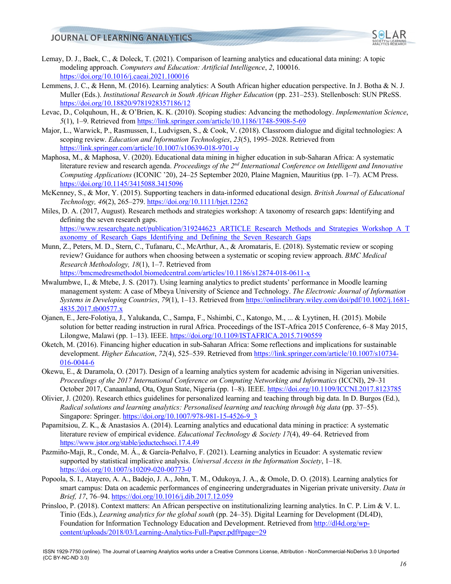

- Lemay, D. J., Baek, C., & Doleck, T. (2021). Comparison of learning analytics and educational data mining: A topic modeling approach. *Computers and Education: Artificial Intelligence*, *2*, 100016. https://doi.org/10.1016/j.caeai.2021.100016
- Lemmens, J. C., & Henn, M. (2016). Learning analytics: A South African higher education perspective. In J. Botha & N. J. Muller (Eds.). *Institutional Research in South African Higher Education* (pp. 231–253). Stellenbosch: SUN PReSS. https://doi.org/10.18820/9781928357186/12
- Levac, D., Colquhoun, H., & O'Brien, K. K. (2010). Scoping studies: Advancing the methodology. *Implementation Science*, *5*(1), 1–9. Retrieved from https://link.springer.com/article/10.1186/1748-5908-5-69
- Major, L., Warwick, P., Rasmussen, I., Ludvigsen, S., & Cook, V. (2018). Classroom dialogue and digital technologies: A scoping review. *Education and Information Technologies*, *23*(5), 1995–2028. Retrieved from https://link.springer.com/article/10.1007/s10639-018-9701-y
- Maphosa, M., & Maphosa, V. (2020). Educational data mining in higher education in sub-Saharan Africa: A systematic literature review and research agenda. *Proceedings of the 2nd International Conference on Intelligent and Innovative Computing Applications* (ICONIC '20), 24–25 September 2020, Plaine Magnien, Mauritius (pp. 1–7). ACM Press. https://doi.org/10.1145/3415088.3415096
- McKenney, S., & Mor, Y. (2015). Supporting teachers in data‐informed educational design. *British Journal of Educational Technology, 46*(2), 265–279. https://doi.org/10.1111/bjet.12262
- Miles, D. A. (2017, August). Research methods and strategies workshop: A taxonomy of research gaps: Identifying and defining the seven research gaps. https://www.researchgate.net/publication/319244623\_ARTICLE\_Research\_Methods\_and\_Strategies\_Workshop\_A\_T axonomy of Research Gaps Identifying and Defining the Seven Research Gaps
- Munn, Z., Peters, M. D., Stern, C., Tufanaru, C., McArthur, A., & Aromataris, E. (2018). Systematic review or scoping review? Guidance for authors when choosing between a systematic or scoping review approach. *BMC Medical Research Methodology, 18*(1), 1–7. Retrieved from

https://bmcmedresmethodol.biomedcentral.com/articles/10.1186/s12874-018-0611-x

- Mwalumbwe, I., & Mtebe, J. S. (2017). Using learning analytics to predict students' performance in Moodle learning management system: A case of Mbeya University of Science and Technology. *The Electronic Journal of Information Systems in Developing Countries*, *79*(1), 1–13. Retrieved from https://onlinelibrary.wiley.com/doi/pdf/10.1002/j.1681- 4835.2017.tb00577.x
- Ojanen, E., Jere-Folotiya, J., Yalukanda, C., Sampa, F., Nshimbi, C., Katongo, M., ... & Lyytinen, H. (2015). Mobile solution for better reading instruction in rural Africa. Proceedings of the IST-Africa 2015 Conference, 6–8 May 2015, Lilongwe, Malawi (pp. 1–13). IEEE. https://doi.org/10.1109/ISTAFRICA.2015.7190559
- Oketch, M. (2016). Financing higher education in sub-Saharan Africa: Some reflections and implications for sustainable development. *Higher Education*, 72(4), 525–539. Retrieved from https://link.springer.com/article/10.1007/s10734-016-0044-6
- Okewu, E., & Daramola, O. (2017). Design of a learning analytics system for academic advising in Nigerian universities. *Proceedings of the 2017 International Conference on Computing Networking and Informatics* (ICCNI), 29–31 October 2017, Canaanland, Ota, Ogun State, Nigeria (pp. 1–8). IEEE. https://doi.org/10.1109/ICCNI.2017.8123785
- Olivier, J. (2020). Research ethics guidelines for personalized learning and teaching through big data. In D. Burgos (Ed.), *Radical solutions and learning analytics: Personalised learning and teaching through big data* (pp. 37–55). Singapore: Springer. https://doi.org/10.1007/978-981-15-4526-9\_3
- Papamitsiou, Z. K., & Anastasios A. (2014). Learning analytics and educational data mining in practice: A systematic literature review of empirical evidence. *Educational Technology & Society 17*(4), 49–64. Retrieved from https://www.jstor.org/stable/jeductechsoci.17.4.49
- Pazmiño-Maji, R., Conde, M. Á., & García-Peñalvo, F. (2021). Learning analytics in Ecuador: A systematic review supported by statistical implicative analysis. *Universal Access in the Information Society*, 1–18. https://doi.org/10.1007/s10209-020-00773-0
- Popoola, S. I., Atayero, A. A., Badejo, J. A., John, T. M., Odukoya, J. A., & Omole, D. O. (2018). Learning analytics for smart campus: Data on academic performances of engineering undergraduates in Nigerian private university. *Data in Brief, 17*, 76–94. https://doi.org/10.1016/j.dib.2017.12.059
- Prinsloo, P. (2018). Context matters: An African perspective on institutionalizing learning analytics. In C. P. Lim & V. L. Tinio (Eds.), *Learning analytics for the global south* (pp. 24–35). Digital Learning for Development (DL4D), Foundation for Information Technology Education and Development. Retrieved from http://dl4d.org/wpcontent/uploads/2018/03/Learning-Analytics-Full-Paper.pdf#page=29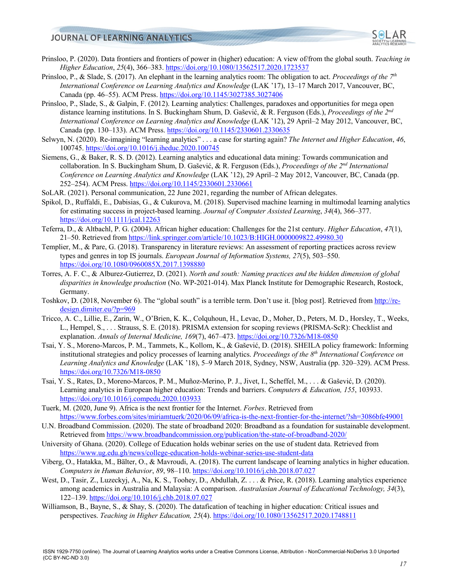

- Prinsloo, P. (2020). Data frontiers and frontiers of power in (higher) education: A view of/from the global south. *Teaching in Higher Education*, *25*(4), 366–383. https://doi.org/10.1080/13562517.2020.1723537
- Prinsloo, P., & Slade, S. (2017). An elephant in the learning analytics room: The obligation to act. *Proceedings of the 7th International Conference on Learning Analytics and Knowledge* (LAK '17), 13–17 March 2017, Vancouver, BC, Canada (pp. 46–55). ACM Press. https://doi.org/10.1145/3027385.3027406
- Prinsloo, P., Slade, S., & Galpin, F. (2012). Learning analytics: Challenges, paradoxes and opportunities for mega open distance learning institutions. In S. Buckingham Shum, D. Gašević, & R. Ferguson (Eds.), *Proceedings of the 2nd International Conference on Learning Analytics and Knowledge* (LAK '12), 29 April–2 May 2012, Vancouver, BC, Canada (pp. 130–133). ACM Press. https://doi.org/10.1145/2330601.2330635
- Selwyn, N. (2020). Re-imagining "learning analytics" . . . a case for starting again? *The Internet and Higher Education*, *46*, 100745. https://doi.org/10.1016/j.iheduc.2020.100745
- Siemens, G., & Baker, R. S. D. (2012). Learning analytics and educational data mining: Towards communication and collaboration. In S. Buckingham Shum, D. Gašević, & R. Ferguson (Eds.), *Proceedings of the 2nd International Conference on Learning Analytics and Knowledge* (LAK '12), 29 April–2 May 2012, Vancouver, BC, Canada (pp. 252–254). ACM Press. https://doi.org/10.1145/2330601.2330661
- SoLAR. (2021). Personal communication, 22 June 2021, regarding the number of African delegates.
- Spikol, D., Ruffaldi, E., Dabisias, G., & Cukurova, M. (2018). Supervised machine learning in multimodal learning analytics for estimating success in project‐based learning. *Journal of Computer Assisted Learning*, *34*(4), 366–377. https://doi.org/10.1111/jcal.12263
- Teferra, D., & Altbachl, P. G. (2004). African higher education: Challenges for the 21st century. *Higher Education*, *47*(1), 21–50. Retrieved from https://link.springer.com/article/10.1023/B:HIGH.0000009822.49980.30
- Templier, M., & Pare, G. (2018). Transparency in literature reviews: An assessment of reporting practices across review types and genres in top IS journals. *European Journal of Information Systems, 27*(5), 503–550. https://doi.org/10.1080/0960085X.2017.1398880
- Torres, A. F. C., & Alburez-Gutierrez, D. (2021). *North and south: Naming practices and the hidden dimension of global disparities in knowledge production* (No. WP-2021-014). Max Planck Institute for Demographic Research, Rostock, Germany.
- Toshkov, D. (2018, November 6). The "global south" is a terrible term. Don't use it. [blog post]. Retrieved from http://redesign.dimiter.eu/?p=969
- Tricco, A. C., Lillie, E., Zarin, W., O'Brien, K. K., Colquhoun, H., Levac, D., Moher, D., Peters, M. D., Horsley, T., Weeks, L., Hempel, S., . . . Strauss, S. E. (2018). PRISMA extension for scoping reviews (PRISMA-ScR): Checklist and explanation. *Annals of Internal Medicine, 169*(7), 467–473. https://doi.org/10.7326/M18-0850
- Tsai, Y. S., Moreno-Marcos, P. M., Tammets, K., Kollom, K., & Gašević, D. (2018). SHEILA policy framework: Informing institutional strategies and policy processes of learning analytics. *Proceedings of the 8th International Conference on Learning Analytics and Knowledge* (LAK '18), 5–9 March 2018, Sydney, NSW, Australia (pp. 320–329). ACM Press. https://doi.org/10.7326/M18-0850
- Tsai, Y. S., Rates, D., Moreno-Marcos, P. M., Muñoz-Merino, P. J., Jivet, I., Scheffel, M., . . . & Gašević, D. (2020). Learning analytics in European higher education: Trends and barriers. *Computers & Education, 155*, 103933. https://doi.org/10.1016/j.compedu.2020.103933
- Tuerk, M. (2020, June 9). Africa is the next frontier for the Internet. *Forbes*. Retrieved from https://www.forbes.com/sites/miriamtuerk/2020/06/09/africa-is-the-next-frontier-for-the-internet/?sh=3086bfe49001
- U.N. Broadband Commission. (2020). The state of broadband 2020: Broadband as a foundation for sustainable development. Retrieved from https://www.broadbandcommission.org/publication/the-state-of-broadband-2020/
- University of Ghana. (2020). College of Education holds webinar series on the use of student data. Retrieved from https://www.ug.edu.gh/news/college-education-holds-webinar-series-use-student-data
- Viberg, O., Hatakka, M., Bälter, O., & Mavroudi, A. (2018). The current landscape of learning analytics in higher education. *Computers in Human Behavior*, *89*, 98–110. https://doi.org/10.1016/j.chb.2018.07.027
- West, D., Tasir, Z., Luzeckyj, A., Na, K. S., Toohey, D., Abdullah, Z. . . . & Price, R. (2018). Learning analytics experience among academics in Australia and Malaysia: A comparison. *Australasian Journal of Educational Technology, 34*(3), 122–139. https://doi.org/10.1016/j.chb.2018.07.027
- Williamson, B., Bayne, S., & Shay, S. (2020). The datafication of teaching in higher education: Critical issues and perspectives. *Teaching in Higher Education, 25*(4). https://doi.org/10.1080/13562517.2020.1748811